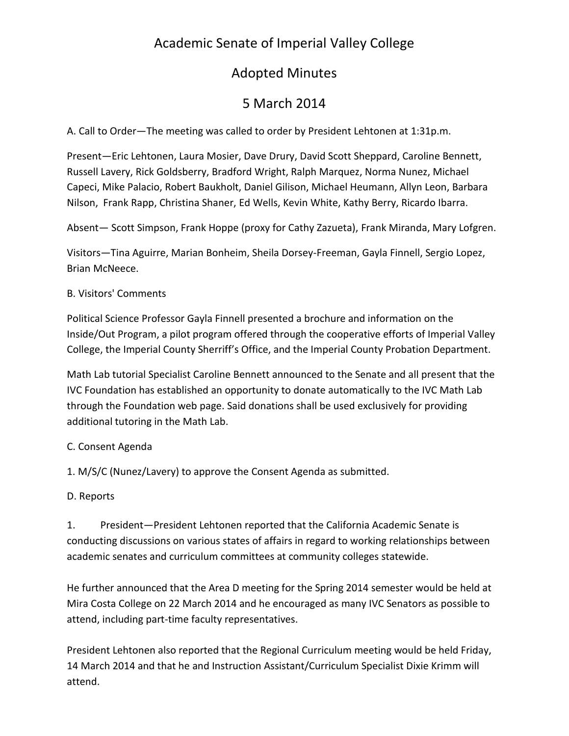# Academic Senate of Imperial Valley College

## Adopted Minutes

# 5 March 2014

A. Call to Order—The meeting was called to order by President Lehtonen at 1:31p.m.

Present—Eric Lehtonen, Laura Mosier, Dave Drury, David Scott Sheppard, Caroline Bennett, Russell Lavery, Rick Goldsberry, Bradford Wright, Ralph Marquez, Norma Nunez, Michael Capeci, Mike Palacio, Robert Baukholt, Daniel Gilison, Michael Heumann, Allyn Leon, Barbara Nilson, Frank Rapp, Christina Shaner, Ed Wells, Kevin White, Kathy Berry, Ricardo Ibarra.

Absent— Scott Simpson, Frank Hoppe (proxy for Cathy Zazueta), Frank Miranda, Mary Lofgren.

Visitors—Tina Aguirre, Marian Bonheim, Sheila Dorsey-Freeman, Gayla Finnell, Sergio Lopez, Brian McNeece.

#### B. Visitors' Comments

Political Science Professor Gayla Finnell presented a brochure and information on the Inside/Out Program, a pilot program offered through the cooperative efforts of Imperial Valley College, the Imperial County Sherriff's Office, and the Imperial County Probation Department.

Math Lab tutorial Specialist Caroline Bennett announced to the Senate and all present that the IVC Foundation has established an opportunity to donate automatically to the IVC Math Lab through the Foundation web page. Said donations shall be used exclusively for providing additional tutoring in the Math Lab.

### C. Consent Agenda

1. M/S/C (Nunez/Lavery) to approve the Consent Agenda as submitted.

### D. Reports

1. President—President Lehtonen reported that the California Academic Senate is conducting discussions on various states of affairs in regard to working relationships between academic senates and curriculum committees at community colleges statewide.

He further announced that the Area D meeting for the Spring 2014 semester would be held at Mira Costa College on 22 March 2014 and he encouraged as many IVC Senators as possible to attend, including part-time faculty representatives.

President Lehtonen also reported that the Regional Curriculum meeting would be held Friday, 14 March 2014 and that he and Instruction Assistant/Curriculum Specialist Dixie Krimm will attend.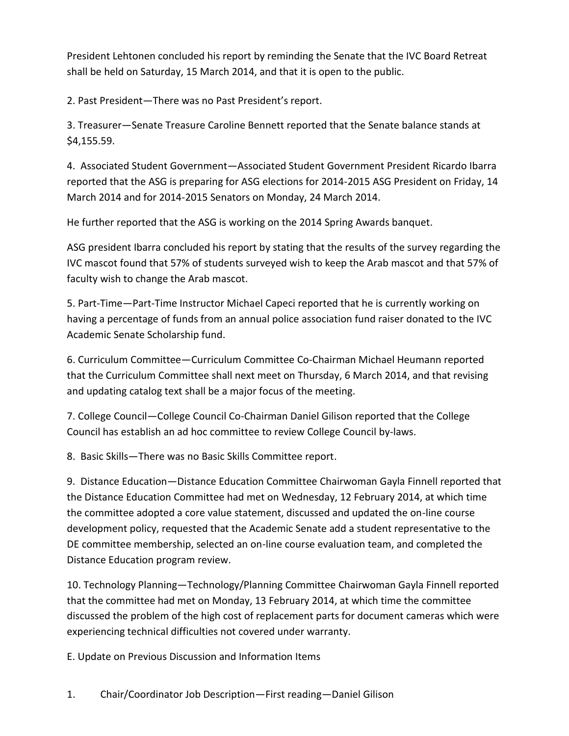President Lehtonen concluded his report by reminding the Senate that the IVC Board Retreat shall be held on Saturday, 15 March 2014, and that it is open to the public.

2. Past President—There was no Past President's report.

3. Treasurer—Senate Treasure Caroline Bennett reported that the Senate balance stands at \$4,155.59.

4. Associated Student Government—Associated Student Government President Ricardo Ibarra reported that the ASG is preparing for ASG elections for 2014-2015 ASG President on Friday, 14 March 2014 and for 2014-2015 Senators on Monday, 24 March 2014.

He further reported that the ASG is working on the 2014 Spring Awards banquet.

ASG president Ibarra concluded his report by stating that the results of the survey regarding the IVC mascot found that 57% of students surveyed wish to keep the Arab mascot and that 57% of faculty wish to change the Arab mascot.

5. Part-Time—Part-Time Instructor Michael Capeci reported that he is currently working on having a percentage of funds from an annual police association fund raiser donated to the IVC Academic Senate Scholarship fund.

6. Curriculum Committee—Curriculum Committee Co-Chairman Michael Heumann reported that the Curriculum Committee shall next meet on Thursday, 6 March 2014, and that revising and updating catalog text shall be a major focus of the meeting.

7. College Council—College Council Co-Chairman Daniel Gilison reported that the College Council has establish an ad hoc committee to review College Council by-laws.

8. Basic Skills—There was no Basic Skills Committee report.

9. Distance Education—Distance Education Committee Chairwoman Gayla Finnell reported that the Distance Education Committee had met on Wednesday, 12 February 2014, at which time the committee adopted a core value statement, discussed and updated the on-line course development policy, requested that the Academic Senate add a student representative to the DE committee membership, selected an on-line course evaluation team, and completed the Distance Education program review.

10. Technology Planning—Technology/Planning Committee Chairwoman Gayla Finnell reported that the committee had met on Monday, 13 February 2014, at which time the committee discussed the problem of the high cost of replacement parts for document cameras which were experiencing technical difficulties not covered under warranty.

E. Update on Previous Discussion and Information Items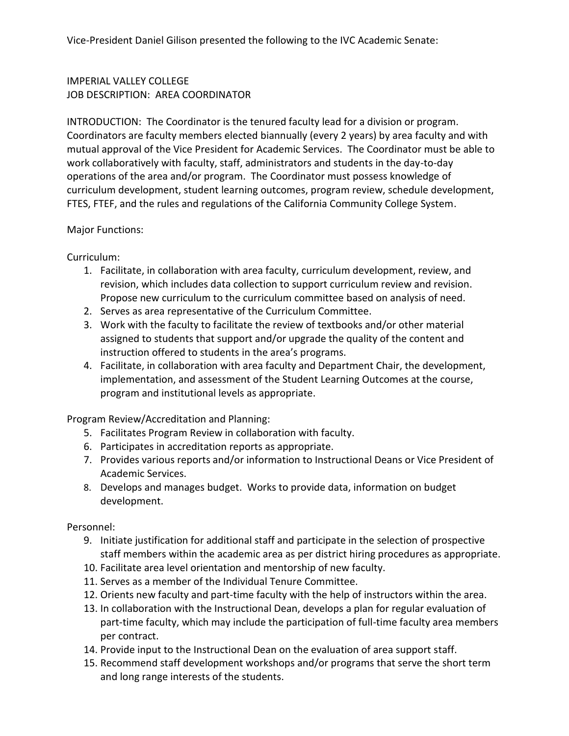### IMPERIAL VALLEY COLLEGE JOB DESCRIPTION: AREA COORDINATOR

INTRODUCTION: The Coordinator is the tenured faculty lead for a division or program. Coordinators are faculty members elected biannually (every 2 years) by area faculty and with mutual approval of the Vice President for Academic Services. The Coordinator must be able to work collaboratively with faculty, staff, administrators and students in the day-to-day operations of the area and/or program. The Coordinator must possess knowledge of curriculum development, student learning outcomes, program review, schedule development, FTES, FTEF, and the rules and regulations of the California Community College System.

#### Major Functions:

Curriculum:

- 1. Facilitate, in collaboration with area faculty, curriculum development, review, and revision, which includes data collection to support curriculum review and revision. Propose new curriculum to the curriculum committee based on analysis of need.
- 2. Serves as area representative of the Curriculum Committee.
- 3. Work with the faculty to facilitate the review of textbooks and/or other material assigned to students that support and/or upgrade the quality of the content and instruction offered to students in the area's programs.
- 4. Facilitate, in collaboration with area faculty and Department Chair, the development, implementation, and assessment of the Student Learning Outcomes at the course, program and institutional levels as appropriate.

Program Review/Accreditation and Planning:

- 5. Facilitates Program Review in collaboration with faculty.
- 6. Participates in accreditation reports as appropriate.
- 7. Provides various reports and/or information to Instructional Deans or Vice President of Academic Services.
- 8. Develops and manages budget. Works to provide data, information on budget development.

Personnel:

- 9. Initiate justification for additional staff and participate in the selection of prospective staff members within the academic area as per district hiring procedures as appropriate.
- 10. Facilitate area level orientation and mentorship of new faculty.
- 11. Serves as a member of the Individual Tenure Committee.
- 12. Orients new faculty and part-time faculty with the help of instructors within the area.
- 13. In collaboration with the Instructional Dean, develops a plan for regular evaluation of part-time faculty, which may include the participation of full-time faculty area members per contract.
- 14. Provide input to the Instructional Dean on the evaluation of area support staff.
- 15. Recommend staff development workshops and/or programs that serve the short term and long range interests of the students.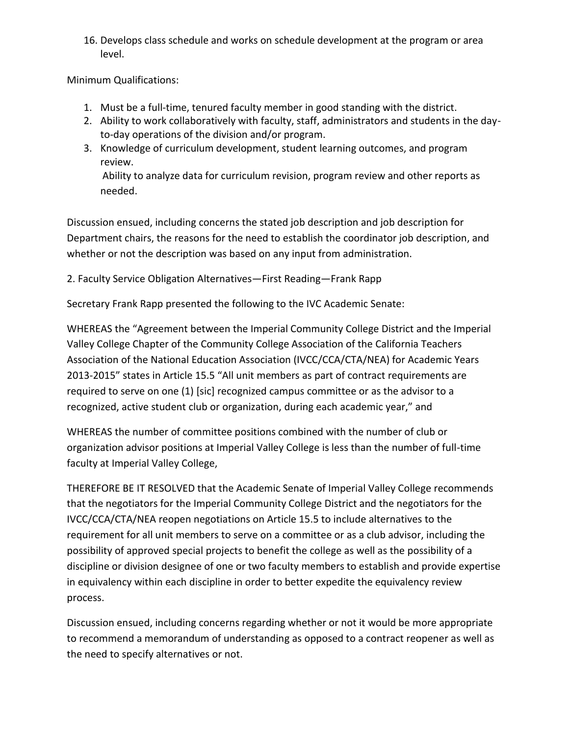16. Develops class schedule and works on schedule development at the program or area level.

Minimum Qualifications:

- 1. Must be a full-time, tenured faculty member in good standing with the district.
- 2. Ability to work collaboratively with faculty, staff, administrators and students in the dayto-day operations of the division and/or program.
- 3. Knowledge of curriculum development, student learning outcomes, and program review. Ability to analyze data for curriculum revision, program review and other reports as needed.

Discussion ensued, including concerns the stated job description and job description for Department chairs, the reasons for the need to establish the coordinator job description, and whether or not the description was based on any input from administration.

2. Faculty Service Obligation Alternatives—First Reading—Frank Rapp

Secretary Frank Rapp presented the following to the IVC Academic Senate:

WHEREAS the "Agreement between the Imperial Community College District and the Imperial Valley College Chapter of the Community College Association of the California Teachers Association of the National Education Association (IVCC/CCA/CTA/NEA) for Academic Years 2013-2015" states in Article 15.5 "All unit members as part of contract requirements are required to serve on one (1) [sic] recognized campus committee or as the advisor to a recognized, active student club or organization, during each academic year," and

WHEREAS the number of committee positions combined with the number of club or organization advisor positions at Imperial Valley College is less than the number of full-time faculty at Imperial Valley College,

THEREFORE BE IT RESOLVED that the Academic Senate of Imperial Valley College recommends that the negotiators for the Imperial Community College District and the negotiators for the IVCC/CCA/CTA/NEA reopen negotiations on Article 15.5 to include alternatives to the requirement for all unit members to serve on a committee or as a club advisor, including the possibility of approved special projects to benefit the college as well as the possibility of a discipline or division designee of one or two faculty members to establish and provide expertise in equivalency within each discipline in order to better expedite the equivalency review process.

Discussion ensued, including concerns regarding whether or not it would be more appropriate to recommend a memorandum of understanding as opposed to a contract reopener as well as the need to specify alternatives or not.